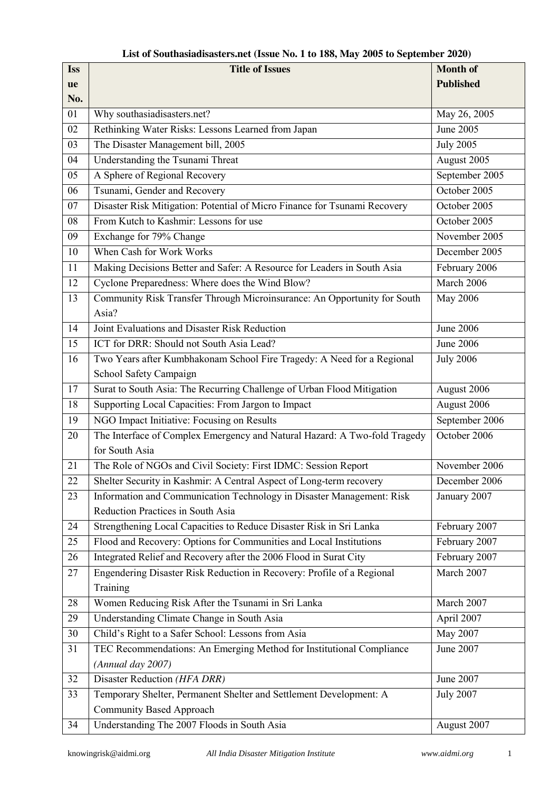| <b>Iss</b> | <b>Title of Issues</b>                                                    | <b>Month of</b>  |
|------------|---------------------------------------------------------------------------|------------------|
| ue         |                                                                           | <b>Published</b> |
| No.        |                                                                           |                  |
| 01         | Why southasiadisasters.net?                                               | May 26, 2005     |
| 02         | Rethinking Water Risks: Lessons Learned from Japan                        | June 2005        |
| 03         | The Disaster Management bill, 2005                                        | <b>July 2005</b> |
| 04         | Understanding the Tsunami Threat                                          | August 2005      |
| 05         | A Sphere of Regional Recovery                                             | September 2005   |
| 06         | Tsunami, Gender and Recovery                                              | October 2005     |
| 07         | Disaster Risk Mitigation: Potential of Micro Finance for Tsunami Recovery | October 2005     |
| 08         | From Kutch to Kashmir: Lessons for use                                    | October 2005     |
| 09         | Exchange for 79% Change                                                   | November 2005    |
| 10         | When Cash for Work Works                                                  | December 2005    |
| 11         | Making Decisions Better and Safer: A Resource for Leaders in South Asia   | February 2006    |
| 12         | Cyclone Preparedness: Where does the Wind Blow?                           | March 2006       |
| 13         | Community Risk Transfer Through Microinsurance: An Opportunity for South  | May 2006         |
|            | Asia?                                                                     |                  |
| 14         | Joint Evaluations and Disaster Risk Reduction                             | <b>June 2006</b> |
| 15         | ICT for DRR: Should not South Asia Lead?                                  | June 2006        |
| 16         | Two Years after Kumbhakonam School Fire Tragedy: A Need for a Regional    | <b>July 2006</b> |
|            | School Safety Campaign                                                    |                  |
| 17         | Surat to South Asia: The Recurring Challenge of Urban Flood Mitigation    | August 2006      |
| 18         | Supporting Local Capacities: From Jargon to Impact                        | August 2006      |
| 19         | NGO Impact Initiative: Focusing on Results                                | September 2006   |
| 20         | The Interface of Complex Emergency and Natural Hazard: A Two-fold Tragedy | October 2006     |
|            | for South Asia                                                            |                  |
| 21         | The Role of NGOs and Civil Society: First IDMC: Session Report            | November 2006    |
| 22         | Shelter Security in Kashmir: A Central Aspect of Long-term recovery       | December 2006    |
| 23         | Information and Communication Technology in Disaster Management: Risk     | January 2007     |
|            | Reduction Practices in South Asia                                         |                  |
| 24         | Strengthening Local Capacities to Reduce Disaster Risk in Sri Lanka       | February 2007    |
| 25         | Flood and Recovery: Options for Communities and Local Institutions        | February 2007    |
| 26         | Integrated Relief and Recovery after the 2006 Flood in Surat City         | February 2007    |
| 27         | Engendering Disaster Risk Reduction in Recovery: Profile of a Regional    | March 2007       |
|            | Training                                                                  |                  |
| 28         | Women Reducing Risk After the Tsunami in Sri Lanka                        | March 2007       |
| 29         | Understanding Climate Change in South Asia                                | April 2007       |
| 30         | Child's Right to a Safer School: Lessons from Asia                        | May 2007         |
| 31         | TEC Recommendations: An Emerging Method for Institutional Compliance      | June 2007        |
|            | (Annual day 2007)                                                         |                  |
| 32         | Disaster Reduction (HFA DRR)                                              | June 2007        |
| 33         | Temporary Shelter, Permanent Shelter and Settlement Development: A        | <b>July 2007</b> |
|            | <b>Community Based Approach</b>                                           |                  |
| 34         | Understanding The 2007 Floods in South Asia                               | August 2007      |

## **List of Southasiadisasters.net (Issue No. 1 to 188, May 2005 to September 2020)**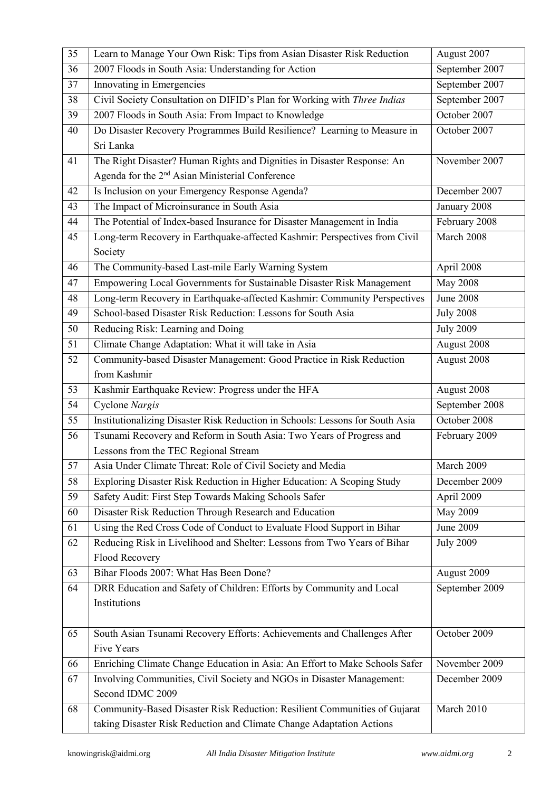| 35 | Learn to Manage Your Own Risk: Tips from Asian Disaster Risk Reduction        | August 2007      |
|----|-------------------------------------------------------------------------------|------------------|
| 36 | 2007 Floods in South Asia: Understanding for Action                           | September 2007   |
| 37 | Innovating in Emergencies                                                     | September 2007   |
| 38 | Civil Society Consultation on DIFID's Plan for Working with Three Indias      | September 2007   |
| 39 | 2007 Floods in South Asia: From Impact to Knowledge                           | October 2007     |
| 40 | Do Disaster Recovery Programmes Build Resilience? Learning to Measure in      | October 2007     |
|    | Sri Lanka                                                                     |                  |
| 41 | The Right Disaster? Human Rights and Dignities in Disaster Response: An       | November 2007    |
|    | Agenda for the 2 <sup>nd</sup> Asian Ministerial Conference                   |                  |
| 42 | Is Inclusion on your Emergency Response Agenda?                               | December 2007    |
| 43 | The Impact of Microinsurance in South Asia                                    | January 2008     |
| 44 | The Potential of Index-based Insurance for Disaster Management in India       | February 2008    |
| 45 | Long-term Recovery in Earthquake-affected Kashmir: Perspectives from Civil    | March 2008       |
|    | Society                                                                       |                  |
| 46 | The Community-based Last-mile Early Warning System                            | April 2008       |
| 47 | Empowering Local Governments for Sustainable Disaster Risk Management         | <b>May 2008</b>  |
| 48 | Long-term Recovery in Earthquake-affected Kashmir: Community Perspectives     | <b>June 2008</b> |
| 49 | School-based Disaster Risk Reduction: Lessons for South Asia                  | <b>July 2008</b> |
| 50 | Reducing Risk: Learning and Doing                                             | <b>July 2009</b> |
| 51 | Climate Change Adaptation: What it will take in Asia                          | August 2008      |
| 52 | Community-based Disaster Management: Good Practice in Risk Reduction          | August 2008      |
|    | from Kashmir                                                                  |                  |
| 53 | Kashmir Earthquake Review: Progress under the HFA                             | August 2008      |
| 54 | Cyclone Nargis                                                                | September 2008   |
| 55 | Institutionalizing Disaster Risk Reduction in Schools: Lessons for South Asia | October 2008     |
| 56 | Tsunami Recovery and Reform in South Asia: Two Years of Progress and          | February 2009    |
|    | Lessons from the TEC Regional Stream                                          |                  |
| 57 | Asia Under Climate Threat: Role of Civil Society and Media                    | March 2009       |
| 58 | Exploring Disaster Risk Reduction in Higher Education: A Scoping Study        | December 2009    |
| 59 | Safety Audit: First Step Towards Making Schools Safer                         | April 2009       |
| 60 | Disaster Risk Reduction Through Research and Education                        | May 2009         |
| 61 | Using the Red Cross Code of Conduct to Evaluate Flood Support in Bihar        | June 2009        |
| 62 | Reducing Risk in Livelihood and Shelter: Lessons from Two Years of Bihar      | <b>July 2009</b> |
|    | Flood Recovery                                                                |                  |
| 63 | Bihar Floods 2007: What Has Been Done?                                        | August 2009      |
| 64 | DRR Education and Safety of Children: Efforts by Community and Local          | September 2009   |
|    | Institutions                                                                  |                  |
|    |                                                                               |                  |
| 65 | South Asian Tsunami Recovery Efforts: Achievements and Challenges After       | October 2009     |
|    | Five Years                                                                    |                  |
| 66 | Enriching Climate Change Education in Asia: An Effort to Make Schools Safer   | November 2009    |
| 67 | Involving Communities, Civil Society and NGOs in Disaster Management:         | December 2009    |
|    | Second IDMC 2009                                                              |                  |
| 68 | Community-Based Disaster Risk Reduction: Resilient Communities of Gujarat     | March 2010       |
|    | taking Disaster Risk Reduction and Climate Change Adaptation Actions          |                  |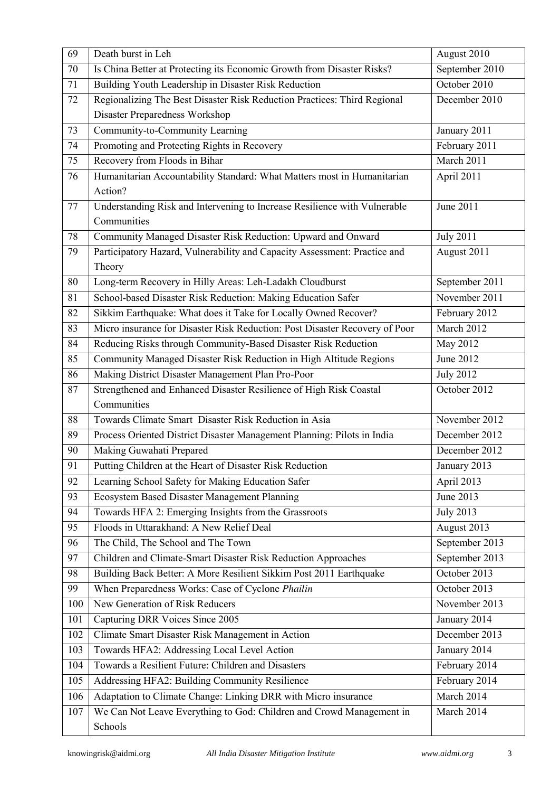| 69  | Death burst in Leh                                                          | August 2010      |
|-----|-----------------------------------------------------------------------------|------------------|
| 70  | Is China Better at Protecting its Economic Growth from Disaster Risks?      | September 2010   |
| 71  | Building Youth Leadership in Disaster Risk Reduction                        | October 2010     |
| 72  | Regionalizing The Best Disaster Risk Reduction Practices: Third Regional    | December 2010    |
|     | Disaster Preparedness Workshop                                              |                  |
| 73  | Community-to-Community Learning                                             | January 2011     |
| 74  | Promoting and Protecting Rights in Recovery                                 | February 2011    |
| 75  | Recovery from Floods in Bihar                                               | March 2011       |
| 76  | Humanitarian Accountability Standard: What Matters most in Humanitarian     | April 2011       |
|     | Action?                                                                     |                  |
| 77  | Understanding Risk and Intervening to Increase Resilience with Vulnerable   | June 2011        |
|     | Communities                                                                 |                  |
| 78  | Community Managed Disaster Risk Reduction: Upward and Onward                | <b>July 2011</b> |
| 79  | Participatory Hazard, Vulnerability and Capacity Assessment: Practice and   | August 2011      |
|     | Theory                                                                      |                  |
| 80  | Long-term Recovery in Hilly Areas: Leh-Ladakh Cloudburst                    | September 2011   |
| 81  | School-based Disaster Risk Reduction: Making Education Safer                | November 2011    |
| 82  | Sikkim Earthquake: What does it Take for Locally Owned Recover?             | February 2012    |
| 83  | Micro insurance for Disaster Risk Reduction: Post Disaster Recovery of Poor | March 2012       |
| 84  | Reducing Risks through Community-Based Disaster Risk Reduction              | May 2012         |
| 85  | Community Managed Disaster Risk Reduction in High Altitude Regions          | June 2012        |
| 86  | Making District Disaster Management Plan Pro-Poor                           | <b>July 2012</b> |
| 87  | Strengthened and Enhanced Disaster Resilience of High Risk Coastal          | October 2012     |
|     | Communities                                                                 |                  |
| 88  | Towards Climate Smart Disaster Risk Reduction in Asia                       | November 2012    |
| 89  | Process Oriented District Disaster Management Planning: Pilots in India     | December 2012    |
| 90  | Making Guwahati Prepared                                                    | December 2012    |
| 91  | Putting Children at the Heart of Disaster Risk Reduction                    | January 2013     |
| 92  | Learning School Safety for Making Education Safer                           | April 2013       |
| 93  | Ecosystem Based Disaster Management Planning                                | June 2013        |
| 94  | Towards HFA 2: Emerging Insights from the Grassroots                        | <b>July 2013</b> |
| 95  | Floods in Uttarakhand: A New Relief Deal                                    | August 2013      |
| 96  | The Child, The School and The Town                                          | September 2013   |
| 97  | Children and Climate-Smart Disaster Risk Reduction Approaches               | September 2013   |
| 98  | Building Back Better: A More Resilient Sikkim Post 2011 Earthquake          | October 2013     |
| 99  | When Preparedness Works: Case of Cyclone Phailin                            | October 2013     |
| 100 | New Generation of Risk Reducers                                             | November 2013    |
| 101 | Capturing DRR Voices Since 2005                                             | January 2014     |
| 102 | Climate Smart Disaster Risk Management in Action                            | December 2013    |
| 103 | Towards HFA2: Addressing Local Level Action                                 | January 2014     |
| 104 | Towards a Resilient Future: Children and Disasters                          | February 2014    |
| 105 | Addressing HFA2: Building Community Resilience                              | February 2014    |
| 106 | Adaptation to Climate Change: Linking DRR with Micro insurance              | March 2014       |
| 107 | We Can Not Leave Everything to God: Children and Crowd Management in        | March 2014       |
|     | Schools                                                                     |                  |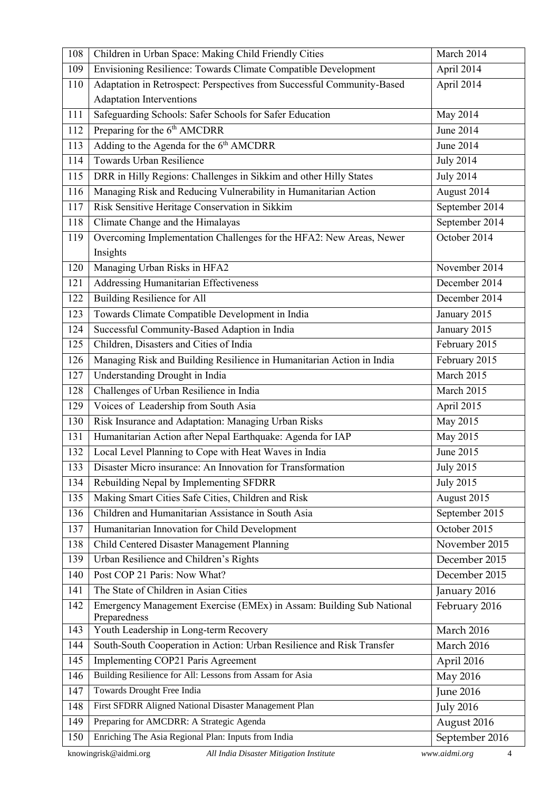| 108                                                                                    | Children in Urban Space: Making Child Friendly Cities                                | March 2014       |
|----------------------------------------------------------------------------------------|--------------------------------------------------------------------------------------|------------------|
| 109                                                                                    | Envisioning Resilience: Towards Climate Compatible Development                       | April 2014       |
| 110                                                                                    | Adaptation in Retrospect: Perspectives from Successful Community-Based               | April 2014       |
|                                                                                        | <b>Adaptation Interventions</b>                                                      |                  |
| 111                                                                                    | Safeguarding Schools: Safer Schools for Safer Education                              | May 2014         |
| 112                                                                                    | Preparing for the 6 <sup>th</sup> AMCDRR                                             | June 2014        |
| 113                                                                                    | Adding to the Agenda for the 6 <sup>th</sup> AMCDRR                                  | <b>June 2014</b> |
| 114                                                                                    | <b>Towards Urban Resilience</b>                                                      | <b>July 2014</b> |
| 115                                                                                    | DRR in Hilly Regions: Challenges in Sikkim and other Hilly States                    | <b>July 2014</b> |
| 116                                                                                    | Managing Risk and Reducing Vulnerability in Humanitarian Action                      | August 2014      |
| 117                                                                                    | Risk Sensitive Heritage Conservation in Sikkim                                       | September 2014   |
| 118                                                                                    | Climate Change and the Himalayas                                                     | September 2014   |
| 119                                                                                    | Overcoming Implementation Challenges for the HFA2: New Areas, Newer                  | October 2014     |
|                                                                                        | Insights                                                                             |                  |
| 120                                                                                    | Managing Urban Risks in HFA2                                                         | November 2014    |
| 121                                                                                    | <b>Addressing Humanitarian Effectiveness</b>                                         | December 2014    |
| 122                                                                                    | <b>Building Resilience for All</b>                                                   | December 2014    |
| 123                                                                                    | Towards Climate Compatible Development in India                                      | January 2015     |
| 124                                                                                    | Successful Community-Based Adaption in India                                         | January 2015     |
| 125                                                                                    | Children, Disasters and Cities of India                                              | February 2015    |
| 126                                                                                    | Managing Risk and Building Resilience in Humanitarian Action in India                | February 2015    |
| 127                                                                                    | Understanding Drought in India                                                       | March 2015       |
| 128                                                                                    | Challenges of Urban Resilience in India                                              | March 2015       |
| 129                                                                                    | Voices of Leadership from South Asia                                                 | April 2015       |
| 130                                                                                    | Risk Insurance and Adaptation: Managing Urban Risks                                  | May 2015         |
| 131                                                                                    | Humanitarian Action after Nepal Earthquake: Agenda for IAP                           | May 2015         |
| 132                                                                                    | Local Level Planning to Cope with Heat Waves in India                                | June 2015        |
| 133                                                                                    | Disaster Micro insurance: An Innovation for Transformation                           | <b>July 2015</b> |
| 134                                                                                    | Rebuilding Nepal by Implementing SFDRR                                               | <b>July 2015</b> |
| 135                                                                                    | Making Smart Cities Safe Cities, Children and Risk                                   | August 2015      |
| 136                                                                                    | Children and Humanitarian Assistance in South Asia                                   | September 2015   |
| 137                                                                                    | Humanitarian Innovation for Child Development                                        | October 2015     |
| 138                                                                                    | Child Centered Disaster Management Planning                                          | November 2015    |
| 139                                                                                    | Urban Resilience and Children's Rights                                               | December 2015    |
| 140                                                                                    | Post COP 21 Paris: Now What?                                                         | December 2015    |
| 141                                                                                    | The State of Children in Asian Cities                                                | January 2016     |
| 142                                                                                    | Emergency Management Exercise (EMEx) in Assam: Building Sub National<br>Preparedness | February 2016    |
| 143                                                                                    | Youth Leadership in Long-term Recovery                                               | March 2016       |
| 144                                                                                    | South-South Cooperation in Action: Urban Resilience and Risk Transfer                | March 2016       |
| 145                                                                                    | Implementing COP21 Paris Agreement                                                   | April 2016       |
| 146                                                                                    | Building Resilience for All: Lessons from Assam for Asia                             | May 2016         |
| 147                                                                                    | Towards Drought Free India                                                           | <b>June 2016</b> |
| 148                                                                                    | First SFDRR Aligned National Disaster Management Plan                                | <b>July 2016</b> |
| 149                                                                                    | Preparing for AMCDRR: A Strategic Agenda                                             | August 2016      |
| 150                                                                                    | Enriching The Asia Regional Plan: Inputs from India                                  | September 2016   |
| knowingrisk@aidmi.org<br>www.aidmi.org<br>All India Disaster Mitigation Institute<br>4 |                                                                                      |                  |